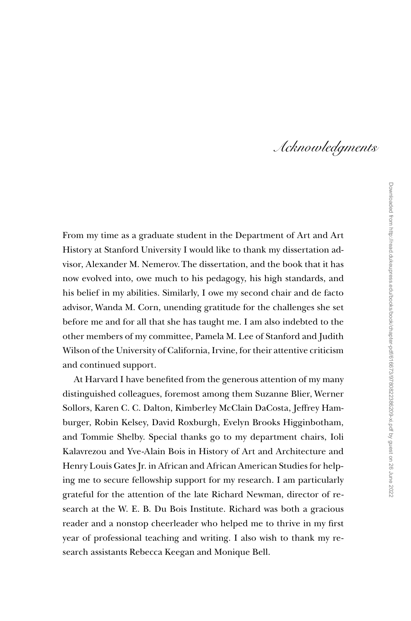## Acknowledgments

From my time as a graduate student in the Department of Art and Art History at Stanford University I would like to thank my dissertation advisor, Alexander M. Nemerov. The dissertation, and the book that it has now evolved into, owe much to his pedagogy, his high standards, and his belief in my abilities. Similarly, I owe my second chair and de facto advisor, Wanda M. Corn, unending gratitude for the challenges she set before me and for all that she has taught me. I am also indebted to the other members of my committee, Pamela M. Lee of Stanford and Judith Wilson of the University of California, Irvine, for their attentive criticism and continued support.

At Harvard I have benefited from the generous attention of my many distinguished colleagues, foremost among them Suzanne Blier, Werner Sollors, Karen C. C. Dalton, Kimberley McClain DaCosta, Jeffrey Hamburger, Robin Kelsey, David Roxburgh, Evelyn Brooks Higginbotham, and Tommie Shelby. Special thanks go to my department chairs, Ioli Kalavrezou and Yve-Alain Bois in History of Art and Architecture and Henry Louis Gates Jr. in African and African American Studies for helping me to secure fellowship support for my research. I am particularly grateful for the attention of the late Richard Newman, director of research at the W. E. B. Du Bois Institute. Richard was both a gracious reader and a nonstop cheerleader who helped me to thrive in my first year of professional teaching and writing. I also wish to thank my research assistants Rebecca Keegan and Monique Bell.